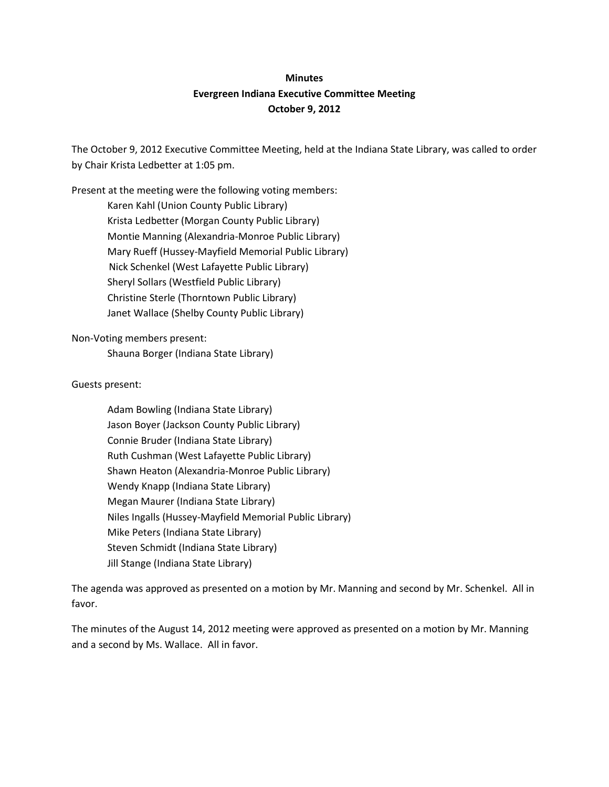## **Minutes Evergreen Indiana Executive Committee Meeting October 9, 2012**

The October 9, 2012 Executive Committee Meeting, held at the Indiana State Library, was called to order by Chair Krista Ledbetter at 1:05 pm.

Present at the meeting were the following voting members: Karen Kahl (Union County Public Library) Krista Ledbetter (Morgan County Public Library) Montie Manning (Alexandria-Monroe Public Library) Mary Rueff (Hussey-Mayfield Memorial Public Library) Nick Schenkel (West Lafayette Public Library) Sheryl Sollars (Westfield Public Library) Christine Sterle (Thorntown Public Library) Janet Wallace (Shelby County Public Library)

Non-Voting members present: Shauna Borger (Indiana State Library)

Guests present:

Adam Bowling (Indiana State Library) Jason Boyer (Jackson County Public Library) Connie Bruder (Indiana State Library) Ruth Cushman (West Lafayette Public Library) Shawn Heaton (Alexandria-Monroe Public Library) Wendy Knapp (Indiana State Library) Megan Maurer (Indiana State Library) Niles Ingalls (Hussey-Mayfield Memorial Public Library) Mike Peters (Indiana State Library) Steven Schmidt (Indiana State Library) Jill Stange (Indiana State Library)

The agenda was approved as presented on a motion by Mr. Manning and second by Mr. Schenkel. All in favor.

The minutes of the August 14, 2012 meeting were approved as presented on a motion by Mr. Manning and a second by Ms. Wallace. All in favor.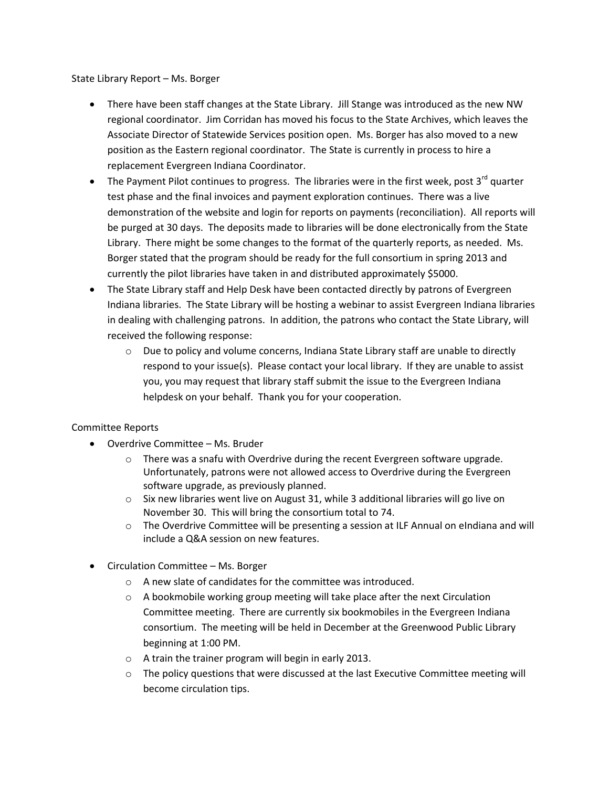State Library Report – Ms. Borger

- There have been staff changes at the State Library. Jill Stange was introduced as the new NW regional coordinator. Jim Corridan has moved his focus to the State Archives, which leaves the Associate Director of Statewide Services position open. Ms. Borger has also moved to a new position as the Eastern regional coordinator. The State is currently in process to hire a replacement Evergreen Indiana Coordinator.
- $\bullet$  The Payment Pilot continues to progress. The libraries were in the first week, post 3<sup>rd</sup> quarter test phase and the final invoices and payment exploration continues. There was a live demonstration of the website and login for reports on payments (reconciliation). All reports will be purged at 30 days. The deposits made to libraries will be done electronically from the State Library. There might be some changes to the format of the quarterly reports, as needed. Ms. Borger stated that the program should be ready for the full consortium in spring 2013 and currently the pilot libraries have taken in and distributed approximately \$5000.
- The State Library staff and Help Desk have been contacted directly by patrons of Evergreen Indiana libraries. The State Library will be hosting a webinar to assist Evergreen Indiana libraries in dealing with challenging patrons. In addition, the patrons who contact the State Library, will received the following response:
	- $\circ$  Due to policy and volume concerns, Indiana State Library staff are unable to directly respond to your issue(s). Please contact your local library. If they are unable to assist you, you may request that library staff submit the issue to the Evergreen Indiana helpdesk on your behalf. Thank you for your cooperation.

## Committee Reports

- Overdrive Committee Ms. Bruder
	- $\circ$  There was a snafu with Overdrive during the recent Evergreen software upgrade. Unfortunately, patrons were not allowed access to Overdrive during the Evergreen software upgrade, as previously planned.
	- $\circ$  Six new libraries went live on August 31, while 3 additional libraries will go live on November 30. This will bring the consortium total to 74.
	- $\circ$  The Overdrive Committee will be presenting a session at ILF Annual on eIndiana and will include a Q&A session on new features.
- Circulation Committee Ms. Borger
	- o A new slate of candidates for the committee was introduced.
	- $\circ$  A bookmobile working group meeting will take place after the next Circulation Committee meeting. There are currently six bookmobiles in the Evergreen Indiana consortium. The meeting will be held in December at the Greenwood Public Library beginning at 1:00 PM.
	- o A train the trainer program will begin in early 2013.
	- $\circ$  The policy questions that were discussed at the last Executive Committee meeting will become circulation tips.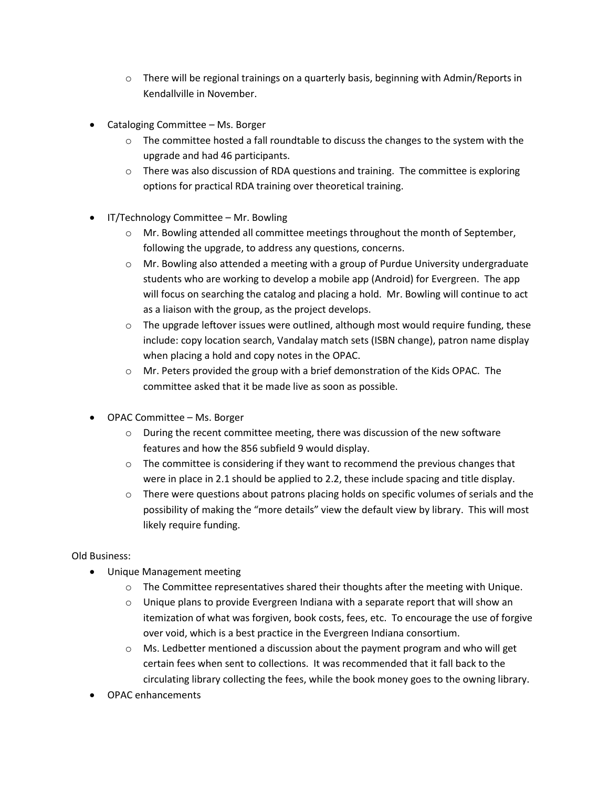- $\circ$  There will be regional trainings on a quarterly basis, beginning with Admin/Reports in Kendallville in November.
- Cataloging Committee Ms. Borger
	- $\circ$  The committee hosted a fall roundtable to discuss the changes to the system with the upgrade and had 46 participants.
	- $\circ$  There was also discussion of RDA questions and training. The committee is exploring options for practical RDA training over theoretical training.
- IT/Technology Committee Mr. Bowling
	- $\circ$  Mr. Bowling attended all committee meetings throughout the month of September, following the upgrade, to address any questions, concerns.
	- $\circ$  Mr. Bowling also attended a meeting with a group of Purdue University undergraduate students who are working to develop a mobile app (Android) for Evergreen. The app will focus on searching the catalog and placing a hold. Mr. Bowling will continue to act as a liaison with the group, as the project develops.
	- $\circ$  The upgrade leftover issues were outlined, although most would require funding, these include: copy location search, Vandalay match sets (ISBN change), patron name display when placing a hold and copy notes in the OPAC.
	- o Mr. Peters provided the group with a brief demonstration of the Kids OPAC. The committee asked that it be made live as soon as possible.
- OPAC Committee Ms. Borger
	- $\circ$  During the recent committee meeting, there was discussion of the new software features and how the 856 subfield 9 would display.
	- $\circ$  The committee is considering if they want to recommend the previous changes that were in place in 2.1 should be applied to 2.2, these include spacing and title display.
	- $\circ$  There were questions about patrons placing holds on specific volumes of serials and the possibility of making the "more details" view the default view by library. This will most likely require funding.

## Old Business:

- Unique Management meeting
	- $\circ$  The Committee representatives shared their thoughts after the meeting with Unique.
	- $\circ$  Unique plans to provide Evergreen Indiana with a separate report that will show an itemization of what was forgiven, book costs, fees, etc. To encourage the use of forgive over void, which is a best practice in the Evergreen Indiana consortium.
	- $\circ$  Ms. Ledbetter mentioned a discussion about the payment program and who will get certain fees when sent to collections. It was recommended that it fall back to the circulating library collecting the fees, while the book money goes to the owning library.
- OPAC enhancements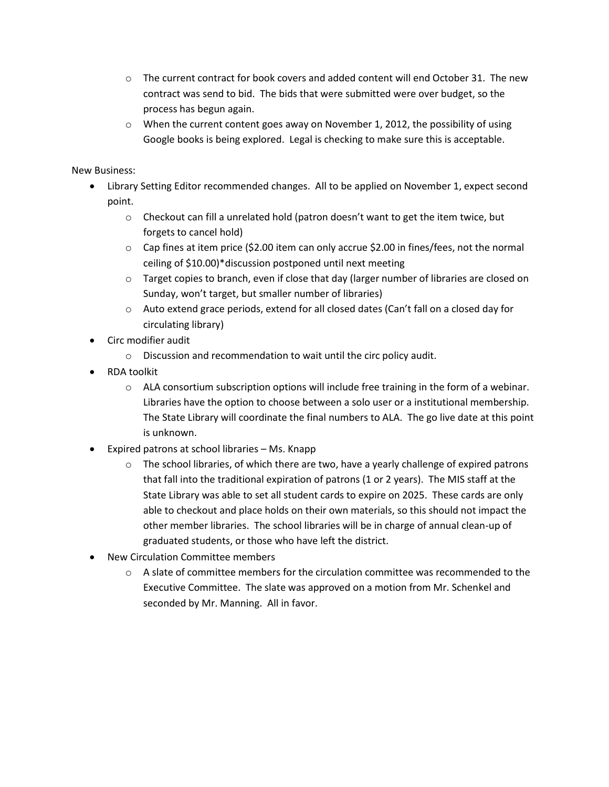- $\circ$  The current contract for book covers and added content will end October 31. The new contract was send to bid. The bids that were submitted were over budget, so the process has begun again.
- o When the current content goes away on November 1, 2012, the possibility of using Google books is being explored. Legal is checking to make sure this is acceptable.

## New Business:

- Library Setting Editor recommended changes. All to be applied on November 1, expect second point.
	- $\circ$  Checkout can fill a unrelated hold (patron doesn't want to get the item twice, but forgets to cancel hold)
	- $\circ$  Cap fines at item price (\$2.00 item can only accrue \$2.00 in fines/fees, not the normal ceiling of \$10.00)\*discussion postponed until next meeting
	- $\circ$  Target copies to branch, even if close that day (larger number of libraries are closed on Sunday, won't target, but smaller number of libraries)
	- $\circ$  Auto extend grace periods, extend for all closed dates (Can't fall on a closed day for circulating library)
- Circ modifier audit
	- o Discussion and recommendation to wait until the circ policy audit.
- RDA toolkit
	- o ALA consortium subscription options will include free training in the form of a webinar. Libraries have the option to choose between a solo user or a institutional membership. The State Library will coordinate the final numbers to ALA. The go live date at this point is unknown.
- Expired patrons at school libraries Ms. Knapp
	- $\circ$  The school libraries, of which there are two, have a yearly challenge of expired patrons that fall into the traditional expiration of patrons (1 or 2 years). The MIS staff at the State Library was able to set all student cards to expire on 2025. These cards are only able to checkout and place holds on their own materials, so this should not impact the other member libraries. The school libraries will be in charge of annual clean-up of graduated students, or those who have left the district.
- New Circulation Committee members
	- $\circ$  A slate of committee members for the circulation committee was recommended to the Executive Committee. The slate was approved on a motion from Mr. Schenkel and seconded by Mr. Manning. All in favor.